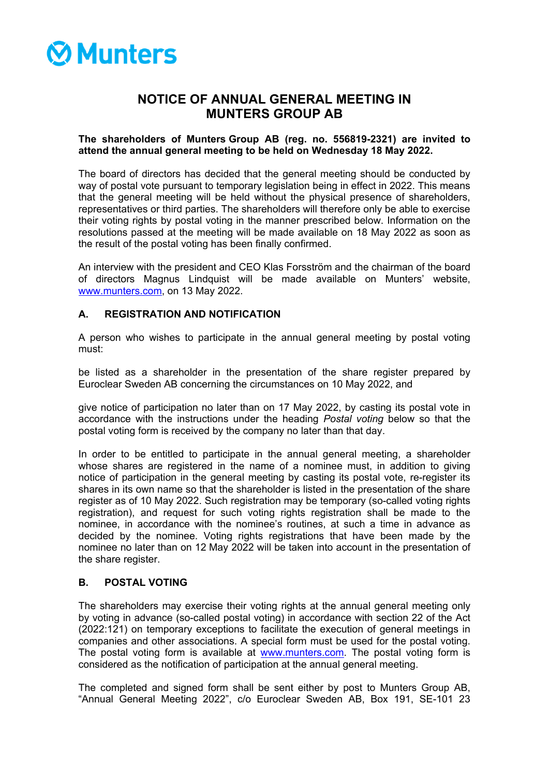# **⊗Munters**

# **NOTICE OF ANNUAL GENERAL MEETING IN MUNTERS GROUP AB**

# **The shareholders of Munters Group AB (reg. no. 556819-2321) are invited to attend the annual general meeting to be held on Wednesday 18 May 2022.**

The board of directors has decided that the general meeting should be conducted by way of postal vote pursuant to temporary legislation being in effect in 2022. This means that the general meeting will be held without the physical presence of shareholders, representatives or third parties. The shareholders will therefore only be able to exercise their voting rights by postal voting in the manner prescribed below. Information on the resolutions passed at the meeting will be made available on 18 May 2022 as soon as the result of the postal voting has been finally confirmed.

An interview with the president and CEO Klas Forsström and the chairman of the board of directors Magnus Lindquist will be made available on Munters' website, [www.munters.com,](http://www.munters.com/) on 13 May 2022.

# **A. REGISTRATION AND NOTIFICATION**

A person who wishes to participate in the annual general meeting by postal voting must:

be listed as a shareholder in the presentation of the share register prepared by Euroclear Sweden AB concerning the circumstances on 10 May 2022, and

give notice of participation no later than on 17 May 2022, by casting its postal vote in accordance with the instructions under the heading *Postal voting* below so that the postal voting form is received by the company no later than that day.

In order to be entitled to participate in the annual general meeting, a shareholder whose shares are registered in the name of a nominee must, in addition to giving notice of participation in the general meeting by casting its postal vote, re-register its shares in its own name so that the shareholder is listed in the presentation of the share register as of 10 May 2022. Such registration may be temporary (so-called voting rights registration), and request for such voting rights registration shall be made to the nominee, in accordance with the nominee's routines, at such a time in advance as decided by the nominee. Voting rights registrations that have been made by the nominee no later than on 12 May 2022 will be taken into account in the presentation of the share register.

# **B. POSTAL VOTING**

The shareholders may exercise their voting rights at the annual general meeting only by voting in advance (so-called postal voting) in accordance with section 22 of the Act (2022:121) on temporary exceptions to facilitate the execution of general meetings in companies and other associations. A special form must be used for the postal voting. The postal voting form is available at [www.munters.com.](http://www.munters.com/) The postal voting form is considered as the notification of participation at the annual general meeting.

The completed and signed form shall be sent either by post to Munters Group AB, "Annual General Meeting 2022", c/o Euroclear Sweden AB, Box 191, SE-101 23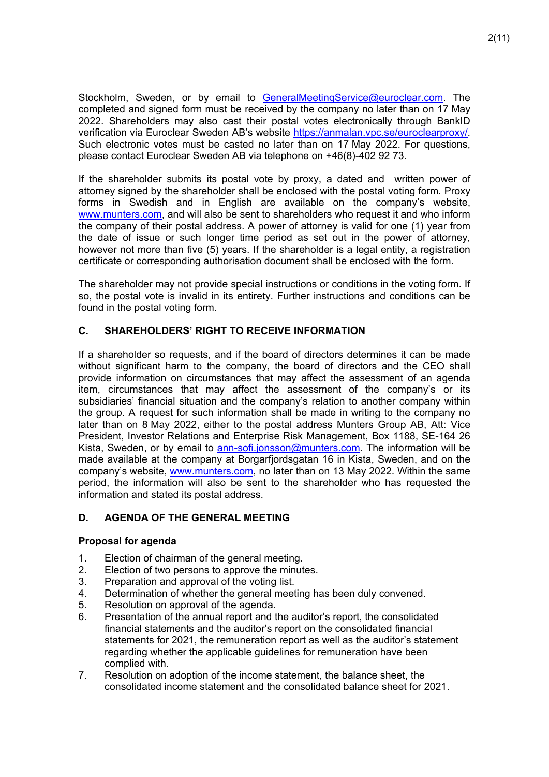Stockholm, Sweden, or by email to [GeneralMeetingService@euroclear.com.](mailto:GeneralMeetingService@euroclear.com) The completed and signed form must be received by the company no later than on 17 May 2022. Shareholders may also cast their postal votes electronically through BankID verification via Euroclear Sweden AB's website [https://anmalan.vpc.se/euroclearproxy/.](https://anmalan.vpc.se/euroclearproxy/) Such electronic votes must be casted no later than on 17 May 2022. For questions, please contact Euroclear Sweden AB via telephone on +46(8)-402 92 73.

If the shareholder submits its postal vote by proxy, a dated and written power of attorney signed by the shareholder shall be enclosed with the postal voting form. Proxy forms in Swedish and in English are available on the company's website, [www.munters.com,](http://www.munters.com/) and will also be sent to shareholders who request it and who inform the company of their postal address. A power of attorney is valid for one (1) year from the date of issue or such longer time period as set out in the power of attorney, however not more than five (5) years. If the shareholder is a legal entity, a registration certificate or corresponding authorisation document shall be enclosed with the form.

The shareholder may not provide special instructions or conditions in the voting form. If so, the postal vote is invalid in its entirety. Further instructions and conditions can be found in the postal voting form.

# **C. SHAREHOLDERS' RIGHT TO RECEIVE INFORMATION**

If a shareholder so requests, and if the board of directors determines it can be made without significant harm to the company, the board of directors and the CEO shall provide information on circumstances that may affect the assessment of an agenda item, circumstances that may affect the assessment of the company's or its subsidiaries' financial situation and the company's relation to another company within the group. A request for such information shall be made in writing to the company no later than on 8 May 2022, either to the postal address Munters Group AB, Att: Vice President, Investor Relations and Enterprise Risk Management, Box 1188, SE-164 26 Kista, Sweden, or by email to [ann-sofi.jonsson@munters.com.](mailto:ann-sofi.jonsson@munters.com) The information will be made available at the company at Borgarfjordsgatan 16 in Kista, Sweden, and on the company's website, [www.munters.com,](http://www.munters.com/) no later than on 13 May 2022. Within the same period, the information will also be sent to the shareholder who has requested the information and stated its postal address.

# **D. AGENDA OF THE GENERAL MEETING**

# **Proposal for agenda**

- 1. Election of chairman of the general meeting.
- 2. Election of two persons to approve the minutes.
- 3. Preparation and approval of the voting list.
- 4. Determination of whether the general meeting has been duly convened.
- 5. Resolution on approval of the agenda.
- 6. Presentation of the annual report and the auditor's report, the consolidated financial statements and the auditor's report on the consolidated financial statements for 2021, the remuneration report as well as the auditor's statement regarding whether the applicable guidelines for remuneration have been complied with.
- 7. Resolution on adoption of the income statement, the balance sheet, the consolidated income statement and the consolidated balance sheet for 2021.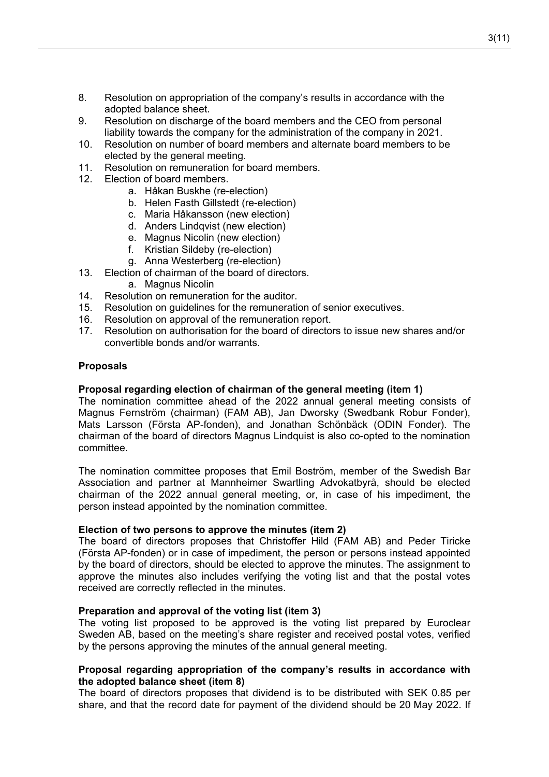- 8. Resolution on appropriation of the company's results in accordance with the adopted balance sheet.
- 9. Resolution on discharge of the board members and the CEO from personal liability towards the company for the administration of the company in 2021.
- 10. Resolution on number of board members and alternate board members to be elected by the general meeting.
- 11. Resolution on remuneration for board members.
- 12. Election of board members.
	- a. Håkan Buskhe (re-election)
	- b. Helen Fasth Gillstedt (re-election)
	- c. Maria Håkansson (new election)
	- d. Anders Lindqvist (new election)
	- e. Magnus Nicolin (new election)
	- f. Kristian Sildeby (re-election)
	- g. Anna Westerberg (re-election)
- 13. Election of chairman of the board of directors.
	- a. Magnus Nicolin
- 14. Resolution on remuneration for the auditor.
- 15. Resolution on guidelines for the remuneration of senior executives.
- 16. Resolution on approval of the remuneration report.
- 17. Resolution on authorisation for the board of directors to issue new shares and/or convertible bonds and/or warrants.

#### **Proposals**

# **Proposal regarding election of chairman of the general meeting (item 1)**

The nomination committee ahead of the 2022 annual general meeting consists of Magnus Fernström (chairman) (FAM AB), Jan Dworsky (Swedbank Robur Fonder), Mats Larsson (Första AP-fonden), and Jonathan Schönbäck (ODIN Fonder). The chairman of the board of directors Magnus Lindquist is also co-opted to the nomination committee.

The nomination committee proposes that Emil Boström, member of the Swedish Bar Association and partner at Mannheimer Swartling Advokatbyrå, should be elected chairman of the 2022 annual general meeting, or, in case of his impediment, the person instead appointed by the nomination committee.

#### **Election of two persons to approve the minutes (item 2)**

The board of directors proposes that Christoffer Hild (FAM AB) and Peder Tiricke (Första AP-fonden) or in case of impediment, the person or persons instead appointed by the board of directors, should be elected to approve the minutes. The assignment to approve the minutes also includes verifying the voting list and that the postal votes received are correctly reflected in the minutes.

#### **Preparation and approval of the voting list (item 3)**

The voting list proposed to be approved is the voting list prepared by Euroclear Sweden AB, based on the meeting's share register and received postal votes, verified by the persons approving the minutes of the annual general meeting.

# **Proposal regarding appropriation of the company's results in accordance with the adopted balance sheet (item 8)**

The board of directors proposes that dividend is to be distributed with SEK 0.85 per share, and that the record date for payment of the dividend should be 20 May 2022. If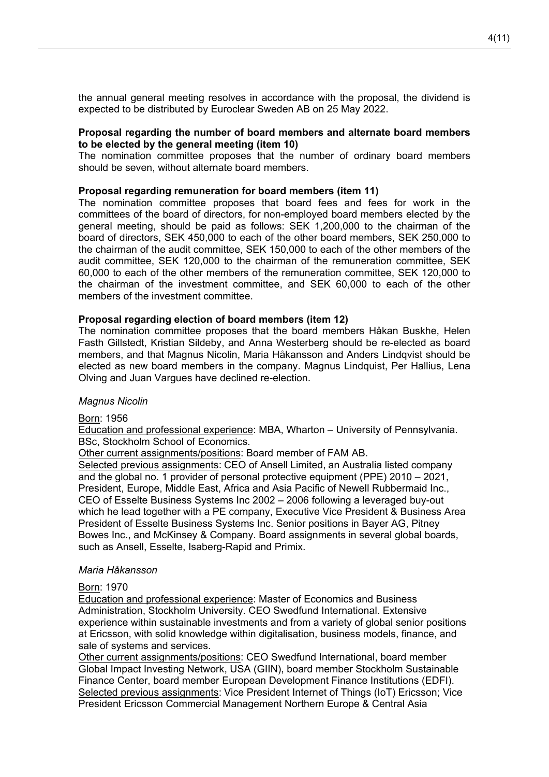the annual general meeting resolves in accordance with the proposal, the dividend is expected to be distributed by Euroclear Sweden AB on 25 May 2022.

# **Proposal regarding the number of board members and alternate board members to be elected by the general meeting (item 10)**

The nomination committee proposes that the number of ordinary board members should be seven, without alternate board members.

# **Proposal regarding remuneration for board members (item 11)**

The nomination committee proposes that board fees and fees for work in the committees of the board of directors, for non-employed board members elected by the general meeting, should be paid as follows: SEK 1,200,000 to the chairman of the board of directors, SEK 450,000 to each of the other board members, SEK 250,000 to the chairman of the audit committee, SEK 150,000 to each of the other members of the audit committee, SEK 120,000 to the chairman of the remuneration committee, SEK 60,000 to each of the other members of the remuneration committee, SEK 120,000 to the chairman of the investment committee, and SEK 60,000 to each of the other members of the investment committee.

#### **Proposal regarding election of board members (item 12)**

The nomination committee proposes that the board members Håkan Buskhe, Helen Fasth Gillstedt, Kristian Sildeby, and Anna Westerberg should be re-elected as board members, and that Magnus Nicolin, Maria Håkansson and Anders Lindqvist should be elected as new board members in the company. Magnus Lindquist, Per Hallius, Lena Olving and Juan Vargues have declined re-election.

# *Magnus Nicolin*

# Born: 1956

Education and professional experience: MBA, Wharton – University of Pennsylvania. BSc, Stockholm School of Economics.

Other current assignments/positions: Board member of FAM AB.

Selected previous assignments: CEO of Ansell Limited, an Australia listed company and the global no. 1 provider of personal protective equipment (PPE) 2010 – 2021, President, Europe, Middle East, Africa and Asia Pacific of Newell Rubbermaid Inc., CEO of Esselte Business Systems Inc 2002 – 2006 following a leveraged buy-out which he lead together with a PE company, Executive Vice President & Business Area President of Esselte Business Systems Inc. Senior positions in Bayer AG, Pitney Bowes Inc., and McKinsey & Company. Board assignments in several global boards, such as Ansell, Esselte, Isaberg-Rapid and Primix.

# *Maria Håkansson*

# Born: 1970

Education and professional experience: Master of Economics and Business Administration, Stockholm University. CEO Swedfund International. Extensive experience within sustainable investments and from a variety of global senior positions at Ericsson, with solid knowledge within digitalisation, business models, finance, and sale of systems and services.

Other current assignments/positions: CEO Swedfund International, board member Global Impact Investing Network, USA (GIIN), board member Stockholm Sustainable Finance Center, board member European Development Finance Institutions (EDFI). Selected previous assignments: Vice President Internet of Things (IoT) Ericsson; Vice President Ericsson Commercial Management Northern Europe & Central Asia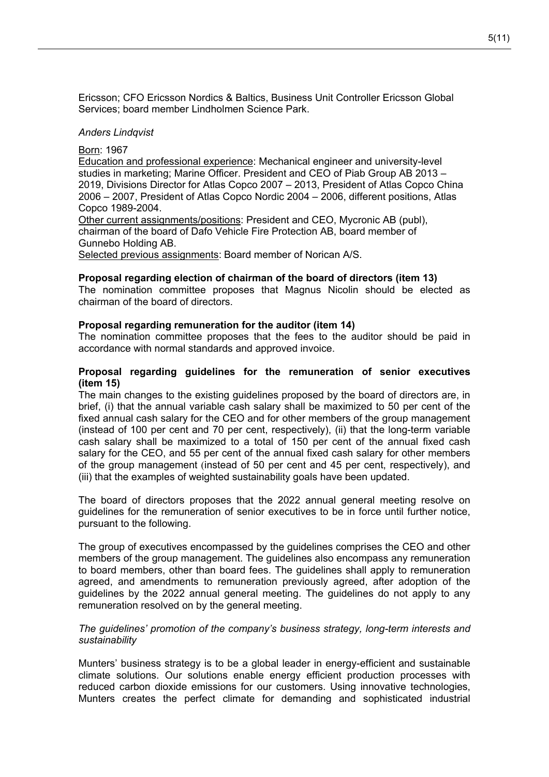Ericsson; CFO Ericsson Nordics & Baltics, Business Unit Controller Ericsson Global Services; board member Lindholmen Science Park.

# *Anders Lindqvist*

Born: 1967

Education and professional experience: Mechanical engineer and university-level studies in marketing; Marine Officer. President and CEO of Piab Group AB 2013 – 2019, Divisions Director for Atlas Copco 2007 – 2013, President of Atlas Copco China 2006 – 2007, President of Atlas Copco Nordic 2004 – 2006, different positions, Atlas Copco 1989-2004.

Other current assignments/positions: President and CEO, Mycronic AB (publ), chairman of the board of Dafo Vehicle Fire Protection AB, board member of Gunnebo Holding AB.

Selected previous assignments: Board member of Norican A/S.

# **Proposal regarding election of chairman of the board of directors (item 13)**

The nomination committee proposes that Magnus Nicolin should be elected as chairman of the board of directors.

# **Proposal regarding remuneration for the auditor (item 14)**

The nomination committee proposes that the fees to the auditor should be paid in accordance with normal standards and approved invoice.

# **Proposal regarding guidelines for the remuneration of senior executives (item 15)**

The main changes to the existing guidelines proposed by the board of directors are, in brief, (i) that the annual variable cash salary shall be maximized to 50 per cent of the fixed annual cash salary for the CEO and for other members of the group management (instead of 100 per cent and 70 per cent, respectively), (ii) that the long-term variable cash salary shall be maximized to a total of 150 per cent of the annual fixed cash salary for the CEO, and 55 per cent of the annual fixed cash salary for other members of the group management (instead of 50 per cent and 45 per cent, respectively), and (iii) that the examples of weighted sustainability goals have been updated.

The board of directors proposes that the 2022 annual general meeting resolve on guidelines for the remuneration of senior executives to be in force until further notice, pursuant to the following.

The group of executives encompassed by the guidelines comprises the CEO and other members of the group management. The guidelines also encompass any remuneration to board members, other than board fees. The guidelines shall apply to remuneration agreed, and amendments to remuneration previously agreed, after adoption of the guidelines by the 2022 annual general meeting. The guidelines do not apply to any remuneration resolved on by the general meeting.

# *The guidelines' promotion of the company's business strategy, long-term interests and sustainability*

Munters' business strategy is to be a global leader in energy-efficient and sustainable climate solutions. Our solutions enable energy efficient production processes with reduced carbon dioxide emissions for our customers. Using innovative technologies, Munters creates the perfect climate for demanding and sophisticated industrial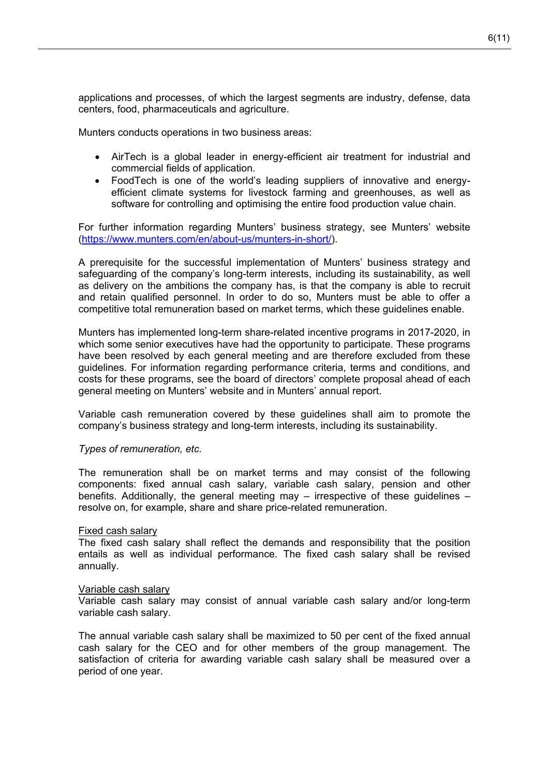applications and processes, of which the largest segments are industry, defense, data centers, food, pharmaceuticals and agriculture.

Munters conducts operations in two business areas:

- AirTech is a global leader in energy-efficient air treatment for industrial and commercial fields of application.
- FoodTech is one of the world's leading suppliers of innovative and energyefficient climate systems for livestock farming and greenhouses, as well as software for controlling and optimising the entire food production value chain.

For further information regarding Munters' business strategy, see Munters' website [\(https://www.munters.com/en/about-us/munters-in-short/\)](https://www.munters.com/en/about-us/munters-in-short/).

A prerequisite for the successful implementation of Munters' business strategy and safeguarding of the company's long-term interests, including its sustainability, as well as delivery on the ambitions the company has, is that the company is able to recruit and retain qualified personnel. In order to do so, Munters must be able to offer a competitive total remuneration based on market terms, which these guidelines enable.

Munters has implemented long-term share-related incentive programs in 2017-2020, in which some senior executives have had the opportunity to participate. These programs have been resolved by each general meeting and are therefore excluded from these guidelines. For information regarding performance criteria, terms and conditions, and costs for these programs, see the board of directors' complete proposal ahead of each general meeting on Munters' website and in Munters' annual report.

Variable cash remuneration covered by these guidelines shall aim to promote the company's business strategy and long-term interests, including its sustainability.

# *Types of remuneration, etc.*

The remuneration shall be on market terms and may consist of the following components: fixed annual cash salary, variable cash salary, pension and other benefits. Additionally, the general meeting may – irrespective of these guidelines – resolve on, for example, share and share price-related remuneration.

#### Fixed cash salary

The fixed cash salary shall reflect the demands and responsibility that the position entails as well as individual performance. The fixed cash salary shall be revised annually.

#### Variable cash salary

Variable cash salary may consist of annual variable cash salary and/or long-term variable cash salary.

The annual variable cash salary shall be maximized to 50 per cent of the fixed annual cash salary for the CEO and for other members of the group management. The satisfaction of criteria for awarding variable cash salary shall be measured over a period of one year.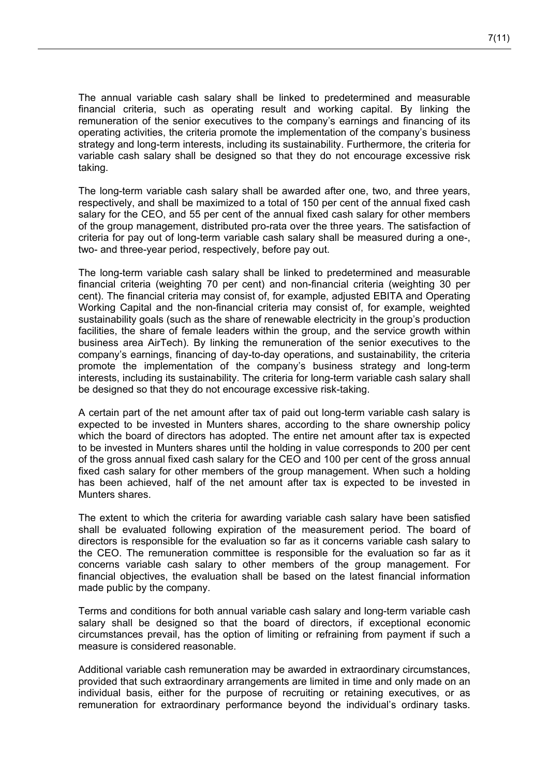The annual variable cash salary shall be linked to predetermined and measurable financial criteria, such as operating result and working capital. By linking the remuneration of the senior executives to the company's earnings and financing of its operating activities, the criteria promote the implementation of the company's business strategy and long-term interests, including its sustainability. Furthermore, the criteria for variable cash salary shall be designed so that they do not encourage excessive risk taking.

The long-term variable cash salary shall be awarded after one, two, and three years, respectively, and shall be maximized to a total of 150 per cent of the annual fixed cash salary for the CEO, and 55 per cent of the annual fixed cash salary for other members of the group management, distributed pro-rata over the three years. The satisfaction of criteria for pay out of long-term variable cash salary shall be measured during a one-, two- and three-year period, respectively, before pay out.

The long-term variable cash salary shall be linked to predetermined and measurable financial criteria (weighting 70 per cent) and non-financial criteria (weighting 30 per cent). The financial criteria may consist of, for example, adjusted EBITA and Operating Working Capital and the non-financial criteria may consist of, for example, weighted sustainability goals (such as the share of renewable electricity in the group's production facilities, the share of female leaders within the group, and the service growth within business area AirTech). By linking the remuneration of the senior executives to the company's earnings, financing of day-to-day operations, and sustainability, the criteria promote the implementation of the company's business strategy and long-term interests, including its sustainability. The criteria for long-term variable cash salary shall be designed so that they do not encourage excessive risk-taking.

A certain part of the net amount after tax of paid out long-term variable cash salary is expected to be invested in Munters shares, according to the share ownership policy which the board of directors has adopted. The entire net amount after tax is expected to be invested in Munters shares until the holding in value corresponds to 200 per cent of the gross annual fixed cash salary for the CEO and 100 per cent of the gross annual fixed cash salary for other members of the group management. When such a holding has been achieved, half of the net amount after tax is expected to be invested in Munters shares.

The extent to which the criteria for awarding variable cash salary have been satisfied shall be evaluated following expiration of the measurement period. The board of directors is responsible for the evaluation so far as it concerns variable cash salary to the CEO. The remuneration committee is responsible for the evaluation so far as it concerns variable cash salary to other members of the group management. For financial objectives, the evaluation shall be based on the latest financial information made public by the company.

Terms and conditions for both annual variable cash salary and long-term variable cash salary shall be designed so that the board of directors, if exceptional economic circumstances prevail, has the option of limiting or refraining from payment if such a measure is considered reasonable.

Additional variable cash remuneration may be awarded in extraordinary circumstances, provided that such extraordinary arrangements are limited in time and only made on an individual basis, either for the purpose of recruiting or retaining executives, or as remuneration for extraordinary performance beyond the individual's ordinary tasks.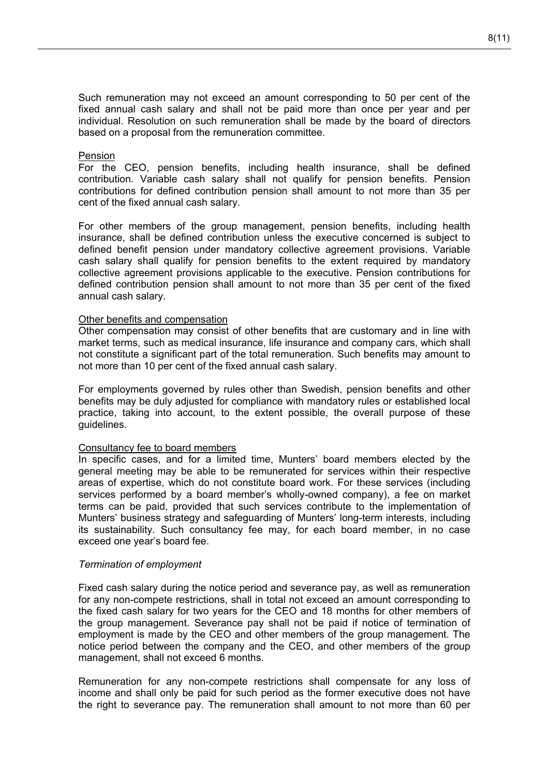Such remuneration may not exceed an amount corresponding to 50 per cent of the fixed annual cash salary and shall not be paid more than once per year and per individual. Resolution on such remuneration shall be made by the board of directors based on a proposal from the remuneration committee.

# Pension

For the CEO, pension benefits, including health insurance, shall be defined contribution. Variable cash salary shall not qualify for pension benefits. Pension contributions for defined contribution pension shall amount to not more than 35 per cent of the fixed annual cash salary.

For other members of the group management, pension benefits, including health insurance, shall be defined contribution unless the executive concerned is subject to defined benefit pension under mandatory collective agreement provisions. Variable cash salary shall qualify for pension benefits to the extent required by mandatory collective agreement provisions applicable to the executive. Pension contributions for defined contribution pension shall amount to not more than 35 per cent of the fixed annual cash salary.

#### Other benefits and compensation

Other compensation may consist of other benefits that are customary and in line with market terms, such as medical insurance, life insurance and company cars, which shall not constitute a significant part of the total remuneration. Such benefits may amount to not more than 10 per cent of the fixed annual cash salary.

For employments governed by rules other than Swedish, pension benefits and other benefits may be duly adjusted for compliance with mandatory rules or established local practice, taking into account, to the extent possible, the overall purpose of these guidelines.

# Consultancy fee to board members

In specific cases, and for a limited time, Munters' board members elected by the general meeting may be able to be remunerated for services within their respective areas of expertise, which do not constitute board work. For these services (including services performed by a board member's wholly-owned company), a fee on market terms can be paid, provided that such services contribute to the implementation of Munters' business strategy and safeguarding of Munters' long-term interests, including its sustainability. Such consultancy fee may, for each board member, in no case exceed one year's board fee.

# *Termination of employment*

Fixed cash salary during the notice period and severance pay, as well as remuneration for any non-compete restrictions, shall in total not exceed an amount corresponding to the fixed cash salary for two years for the CEO and 18 months for other members of the group management. Severance pay shall not be paid if notice of termination of employment is made by the CEO and other members of the group management. The notice period between the company and the CEO, and other members of the group management, shall not exceed 6 months.

Remuneration for any non-compete restrictions shall compensate for any loss of income and shall only be paid for such period as the former executive does not have the right to severance pay. The remuneration shall amount to not more than 60 per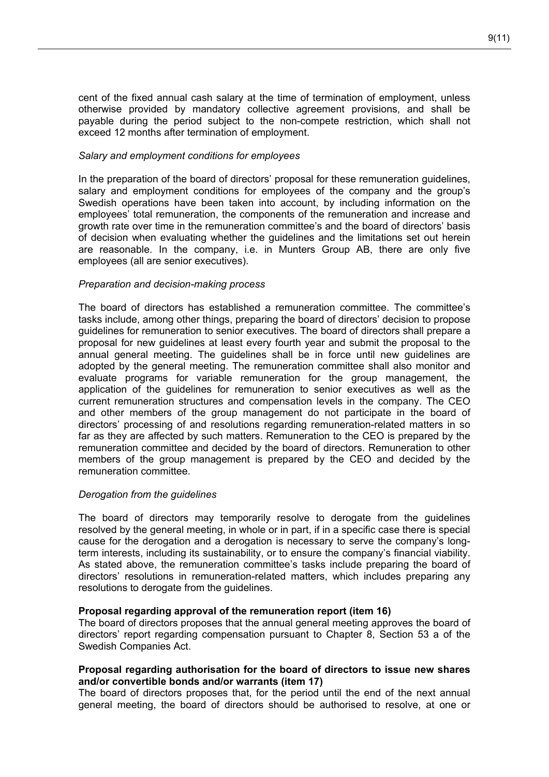cent of the fixed annual cash salary at the time of termination of employment, unless otherwise provided by mandatory collective agreement provisions, and shall be payable during the period subject to the non-compete restriction, which shall not exceed 12 months after termination of employment.

# *Salary and employment conditions for employees*

In the preparation of the board of directors' proposal for these remuneration guidelines, salary and employment conditions for employees of the company and the group's Swedish operations have been taken into account, by including information on the employees' total remuneration, the components of the remuneration and increase and growth rate over time in the remuneration committee's and the board of directors' basis of decision when evaluating whether the guidelines and the limitations set out herein are reasonable. In the company, i.e. in Munters Group AB, there are only five employees (all are senior executives).

# *Preparation and decision-making process*

The board of directors has established a remuneration committee. The committee's tasks include, among other things, preparing the board of directors' decision to propose guidelines for remuneration to senior executives. The board of directors shall prepare a proposal for new guidelines at least every fourth year and submit the proposal to the annual general meeting. The guidelines shall be in force until new guidelines are adopted by the general meeting. The remuneration committee shall also monitor and evaluate programs for variable remuneration for the group management, the application of the guidelines for remuneration to senior executives as well as the current remuneration structures and compensation levels in the company. The CEO and other members of the group management do not participate in the board of directors' processing of and resolutions regarding remuneration-related matters in so far as they are affected by such matters. Remuneration to the CEO is prepared by the remuneration committee and decided by the board of directors. Remuneration to other members of the group management is prepared by the CEO and decided by the remuneration committee.

# *Derogation from the guidelines*

The board of directors may temporarily resolve to derogate from the guidelines resolved by the general meeting, in whole or in part, if in a specific case there is special cause for the derogation and a derogation is necessary to serve the company's longterm interests, including its sustainability, or to ensure the company's financial viability. As stated above, the remuneration committee's tasks include preparing the board of directors' resolutions in remuneration-related matters, which includes preparing any resolutions to derogate from the guidelines.

# **Proposal regarding approval of the remuneration report (item 16)**

The board of directors proposes that the annual general meeting approves the board of directors' report regarding compensation pursuant to Chapter 8, Section 53 a of the Swedish Companies Act.

# **Proposal regarding authorisation for the board of directors to issue new shares and/or convertible bonds and/or warrants (item 17)**

The board of directors proposes that, for the period until the end of the next annual general meeting, the board of directors should be authorised to resolve, at one or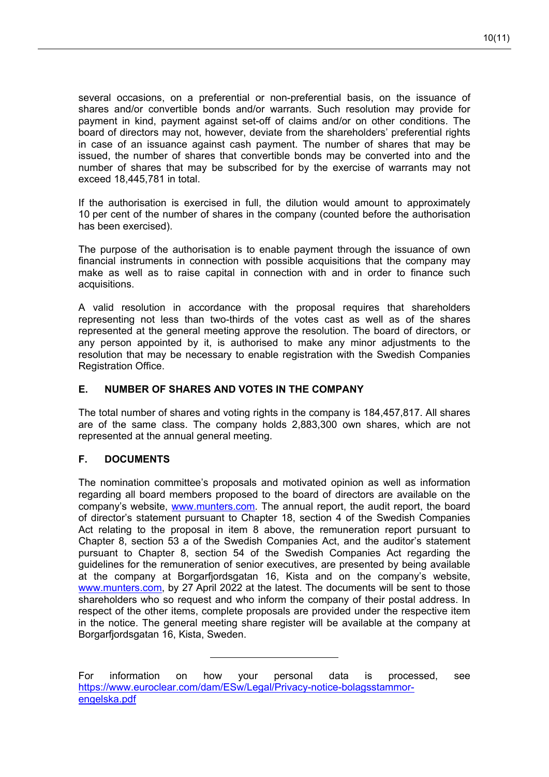several occasions, on a preferential or non-preferential basis, on the issuance of shares and/or convertible bonds and/or warrants. Such resolution may provide for payment in kind, payment against set-off of claims and/or on other conditions. The board of directors may not, however, deviate from the shareholders' preferential rights in case of an issuance against cash payment. The number of shares that may be issued, the number of shares that convertible bonds may be converted into and the number of shares that may be subscribed for by the exercise of warrants may not exceed 18,445,781 in total.

If the authorisation is exercised in full, the dilution would amount to approximately 10 per cent of the number of shares in the company (counted before the authorisation has been exercised).

The purpose of the authorisation is to enable payment through the issuance of own financial instruments in connection with possible acquisitions that the company may make as well as to raise capital in connection with and in order to finance such acquisitions.

A valid resolution in accordance with the proposal requires that shareholders representing not less than two-thirds of the votes cast as well as of the shares represented at the general meeting approve the resolution. The board of directors, or any person appointed by it, is authorised to make any minor adjustments to the resolution that may be necessary to enable registration with the Swedish Companies Registration Office.

# **E. NUMBER OF SHARES AND VOTES IN THE COMPANY**

The total number of shares and voting rights in the company is 184,457,817. All shares are of the same class. The company holds 2,883,300 own shares, which are not represented at the annual general meeting.

# **F. DOCUMENTS**

The nomination committee's proposals and motivated opinion as well as information regarding all board members proposed to the board of directors are available on the company's website, [www.munters.com.](http://www.munters.com/) The annual report, the audit report, the board of director's statement pursuant to Chapter 18, section 4 of the Swedish Companies Act relating to the proposal in item 8 above, the remuneration report pursuant to Chapter 8, section 53 a of the Swedish Companies Act, and the auditor's statement pursuant to Chapter 8, section 54 of the Swedish Companies Act regarding the guidelines for the remuneration of senior executives, are presented by being available at the company at Borgarfjordsgatan 16, Kista and on the company's website, [www.munters.com,](http://www.munters.com/) by 27 April 2022 at the latest. The documents will be sent to those shareholders who so request and who inform the company of their postal address. In respect of the other items, complete proposals are provided under the respective item in the notice. The general meeting share register will be available at the company at Borgarfjordsgatan 16, Kista, Sweden.

For information on how your personal data is processed, see [https://www.euroclear.com/dam/ESw/Legal/Privacy-notice-bolagsstammor](https://www.euroclear.com/dam/ESw/Legal/Privacy-notice-bolagsstammor-engelska.pdf)[engelska.pdf](https://www.euroclear.com/dam/ESw/Legal/Privacy-notice-bolagsstammor-engelska.pdf)